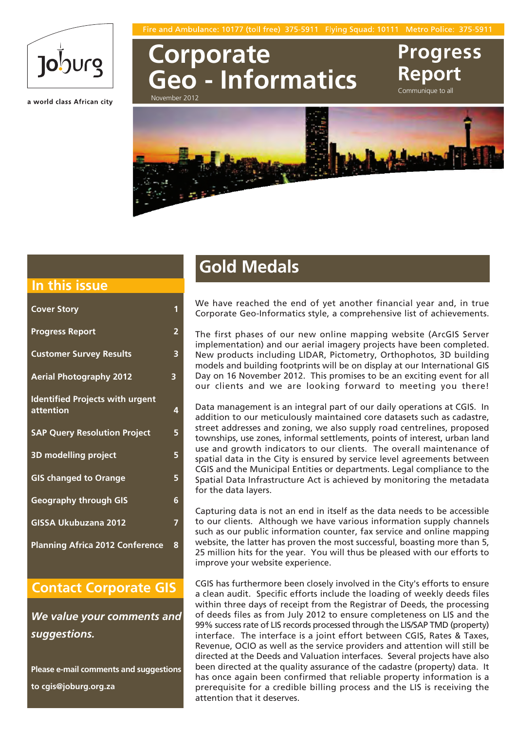

a world class African city

**Corporate Geo - Informatics** November 2012

**Report** Communique to all

**Progress**



### **In this issue**

| <b>Cover Story</b>                                  | 1                       |
|-----------------------------------------------------|-------------------------|
| <b>Progress Report</b>                              | $\overline{\mathbf{2}}$ |
| <b>Customer Survey Results</b>                      | 3                       |
| <b>Aerial Photography 2012</b>                      | 3                       |
| <b>Identified Projects with urgent</b><br>attention | 4                       |
| <b>SAP Query Resolution Project</b>                 | 5                       |
| <b>3D modelling project</b>                         | 5                       |
| <b>GIS changed to Orange</b>                        | 5                       |
| <b>Geography through GIS</b>                        | 6                       |
| <b>GISSA Ukubuzana 2012</b>                         | 7                       |
| <b>Planning Africa 2012 Conference</b>              | 8                       |

### **Contact Corporate GIS**

*We value your comments and suggestions.*

**Please e-mail comments and suggestions to cgis@joburg.org.za**

## **Gold Medals**

We have reached the end of yet another financial year and, in true Corporate Geo-Informatics style, a comprehensive list of achievements.

The first phases of our new online mapping website (ArcGIS Server implementation) and our aerial imagery projects have been completed. New products including LIDAR, Pictometry, Orthophotos, 3D building models and building footprints will be on display at our International GIS Day on 16 November 2012. This promises to be an exciting event for all our clients and we are looking forward to meeting you there!

Data management is an integral part of our daily operations at CGIS. In addition to our meticulously maintained core datasets such as cadastre, street addresses and zoning, we also supply road centrelines, proposed townships, use zones, informal settlements, points of interest, urban land use and growth indicators to our clients. The overall maintenance of spatial data in the City is ensured by service level agreements between CGIS and the Municipal Entities or departments. Legal compliance to the Spatial Data Infrastructure Act is achieved by monitoring the metadata for the data layers.

Capturing data is not an end in itself as the data needs to be accessible to our clients. Although we have various information supply channels such as our public information counter, fax service and online mapping website, the latter has proven the most successful, boasting more than 5, 25 million hits for the year. You will thus be pleased with our efforts to improve your website experience.

CGIS has furthermore been closely involved in the City's efforts to ensure a clean audit. Specific efforts include the loading of weekly deeds files within three days of receipt from the Registrar of Deeds, the processing of deeds files as from July 2012 to ensure completeness on LIS and the 99% success rate of LIS records processed through the LIS/SAP TMD (property) interface. The interface is a joint effort between CGIS, Rates & Taxes, Revenue, OCIO as well as the service providers and attention will still be directed at the Deeds and Valuation interfaces. Several projects have also been directed at the quality assurance of the cadastre (property) data. It has once again been confirmed that reliable property information is a prerequisite for a credible billing process and the LIS is receiving the attention that it deserves.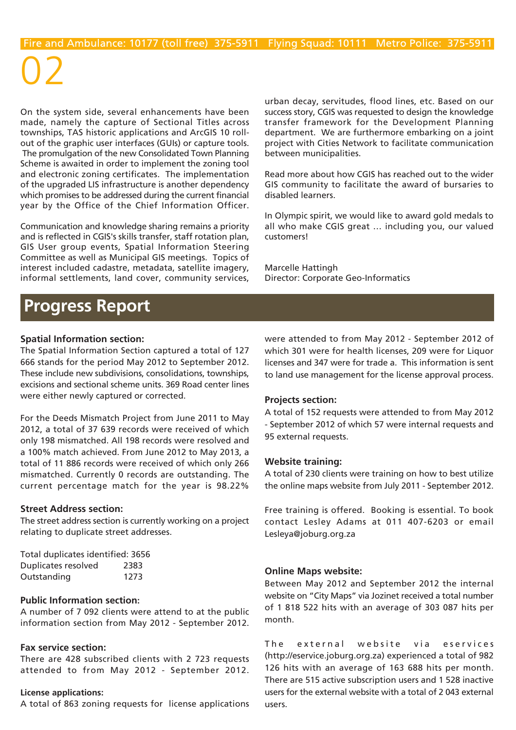On the system side, several enhancements have been made, namely the capture of Sectional Titles across townships, TAS historic applications and ArcGIS 10 rollout of the graphic user interfaces (GUIs) or capture tools. The promulgation of the new Consolidated Town Planning Scheme is awaited in order to implement the zoning tool and electronic zoning certificates. The implementation of the upgraded LIS infrastructure is another dependency which promises to be addressed during the current financial year by the Office of the Chief Information Officer.

Communication and knowledge sharing remains a priority and is reflected in CGIS's skills transfer, staff rotation plan, GIS User group events, Spatial Information Steering Committee as well as Municipal GIS meetings. Topics of interest included cadastre, metadata, satellite imagery, informal settlements, land cover, community services,

urban decay, servitudes, flood lines, etc. Based on our success story, CGIS was requested to design the knowledge transfer framework for the Development Planning department. We are furthermore embarking on a joint project with Cities Network to facilitate communication between municipalities.

Read more about how CGIS has reached out to the wider GIS community to facilitate the award of bursaries to disabled learners.

In Olympic spirit, we would like to award gold medals to all who make CGIS great … including you, our valued customers!

Marcelle Hattingh Director: Corporate Geo-Informatics

### **Progress Report**

### **Spatial Information section:**

The Spatial Information Section captured a total of 127 666 stands for the period May 2012 to September 2012. These include new subdivisions, consolidations, townships, excisions and sectional scheme units. 369 Road center lines were either newly captured or corrected.

For the Deeds Mismatch Project from June 2011 to May 2012, a total of 37 639 records were received of which only 198 mismatched. All 198 records were resolved and a 100% match achieved. From June 2012 to May 2013, a total of 11 886 records were received of which only 266 mismatched. Currently 0 records are outstanding. The current percentage match for the year is 98.22%

### **Street Address section:**

The street address section is currently working on a project relating to duplicate street addresses.

| Total duplicates identified: 3656 |      |
|-----------------------------------|------|
| Duplicates resolved               | 2383 |
| Outstanding                       | 1273 |

### **Public Information section:**

A number of 7 092 clients were attend to at the public information section from May 2012 - September 2012.

### **Fax service section:**

There are 428 subscribed clients with 2 723 requests attended to from May 2012 - September 2012.

#### **License applications:**

A total of 863 zoning requests for license applications

were attended to from May 2012 - September 2012 of which 301 were for health licenses, 209 were for Liquor licenses and 347 were for trade a. This information is sent to land use management for the license approval process.

### **Projects section:**

A total of 152 requests were attended to from May 2012 - September 2012 of which 57 were internal requests and 95 external requests.

### **Website training:**

A total of 230 clients were training on how to best utilize the online maps website from July 2011 - September 2012.

Free training is offered. Booking is essential. To book contact Lesley Adams at 011 407-6203 or email Lesleya@joburg.org.za

### **Online Maps website:**

Between May 2012 and September 2012 the internal website on "City Maps" via Jozinet received a total number of 1 818 522 hits with an average of 303 087 hits per month.

The external website via eservices (http://eservice.joburg.org.za) experienced a total of 982 126 hits with an average of 163 688 hits per month. There are 515 active subscription users and 1 528 inactive users for the external website with a total of 2 043 external users.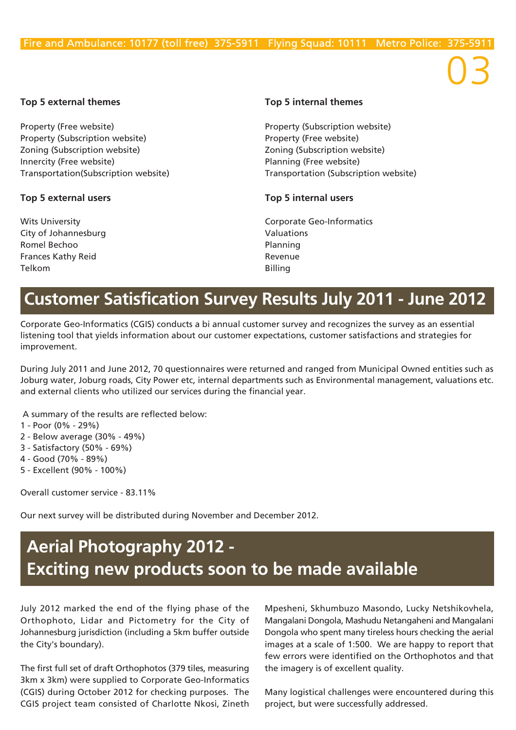### **Top 5 external themes Top 5 internal themes**

Property (Free website) **Property (Subscription website)** Property (Subscription website) example and the Property (Free website) Zoning (Subscription website) Zoning (Subscription website) Innercity (Free website) **Planning (Free website)** Planning (Free website)

### **Top 5 external users Top 5 internal users**

City of Johannesburg **Valuations** Romel Bechoo **Planning** Frances Kathy Reid **Revenue** Telkom Billing

Transportation(Subscription website) Transportation (Subscription website)

Wits University **Communisty** Comporate Geo-Informatics

## **Customer Satisfication Survey Results July 2011 - June 2012**

Corporate Geo-Informatics (CGIS) conducts a bi annual customer survey and recognizes the survey as an essential listening tool that yields information about our customer expectations, customer satisfactions and strategies for improvement.

During July 2011 and June 2012, 70 questionnaires were returned and ranged from Municipal Owned entities such as Joburg water, Joburg roads, City Power etc, internal departments such as Environmental management, valuations etc. and external clients who utilized our services during the financial year.

A summary of the results are reflected below:

- 1 Poor (0% 29%)
- 2 Below average (30% 49%)
- 3 Satisfactory (50% 69%)
- 4 Good (70% 89%)
- 5 Excellent (90% 100%)

Overall customer service - 83.11%

Our next survey will be distributed during November and December 2012.

## **Aerial Photography 2012 - Exciting new products soon to be made available**

July 2012 marked the end of the flying phase of the Orthophoto, Lidar and Pictometry for the City of Johannesburg jurisdiction (including a 5km buffer outside the City's boundary).

The first full set of draft Orthophotos (379 tiles, measuring 3km x 3km) were supplied to Corporate Geo-Informatics (CGIS) during October 2012 for checking purposes. The CGIS project team consisted of Charlotte Nkosi, Zineth Mpesheni, Skhumbuzo Masondo, Lucky Netshikovhela, Mangalani Dongola, Mashudu Netangaheni and Mangalani Dongola who spent many tireless hours checking the aerial images at a scale of 1:500. We are happy to report that few errors were identified on the Orthophotos and that the imagery is of excellent quality.

Many logistical challenges were encountered during this project, but were successfully addressed.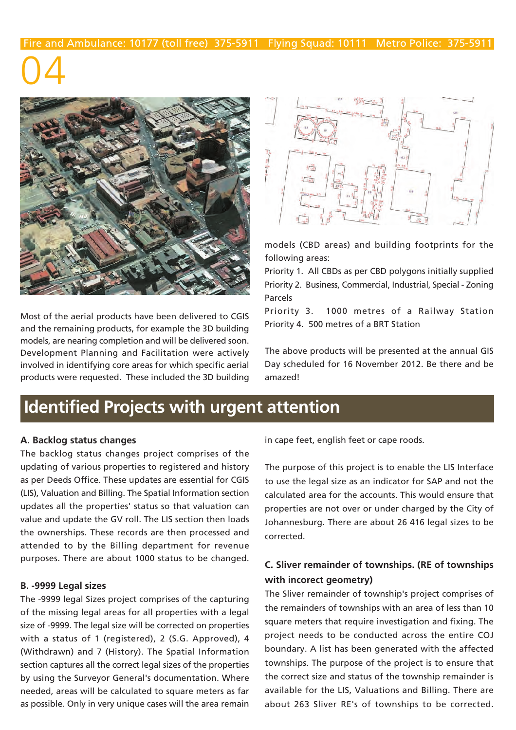

Most of the aerial products have been delivered to CGIS and the remaining products, for example the 3D building models, are nearing completion and will be delivered soon. Development Planning and Facilitation were actively involved in identifying core areas for which specific aerial products were requested. These included the 3D building



models (CBD areas) and building footprints for the following areas:

Priority 1. All CBDs as per CBD polygons initially supplied Priority 2. Business, Commercial, Industrial, Special - Zoning Parcels

Priority 3. 1000 metres of a Railway Station Priority 4. 500 metres of a BRT Station

The above products will be presented at the annual GIS Day scheduled for 16 November 2012. Be there and be amazed!

## **Identified Projects with urgent attention**

### **A. Backlog status changes**

The backlog status changes project comprises of the updating of various properties to registered and history as per Deeds Office. These updates are essential for CGIS (LIS), Valuation and Billing. The Spatial Information section updates all the properties' status so that valuation can value and update the GV roll. The LIS section then loads the ownerships. These records are then processed and attended to by the Billing department for revenue purposes. There are about 1000 status to be changed.

### **B. -9999 Legal sizes**

The -9999 legal Sizes project comprises of the capturing of the missing legal areas for all properties with a legal size of -9999. The legal size will be corrected on properties with a status of 1 (registered), 2 (S.G. Approved), 4 (Withdrawn) and 7 (History). The Spatial Information section captures all the correct legal sizes of the properties by using the Surveyor General's documentation. Where needed, areas will be calculated to square meters as far as possible. Only in very unique cases will the area remain

in cape feet, english feet or cape roods.

The purpose of this project is to enable the LIS Interface to use the legal size as an indicator for SAP and not the calculated area for the accounts. This would ensure that properties are not over or under charged by the City of Johannesburg. There are about 26 416 legal sizes to be corrected.

### **C. Sliver remainder of townships. (RE of townships with incorect geometry)**

The Sliver remainder of township's project comprises of the remainders of townships with an area of less than 10 square meters that require investigation and fixing. The project needs to be conducted across the entire COJ boundary. A list has been generated with the affected townships. The purpose of the project is to ensure that the correct size and status of the township remainder is available for the LIS, Valuations and Billing. There are about 263 Sliver RE's of townships to be corrected.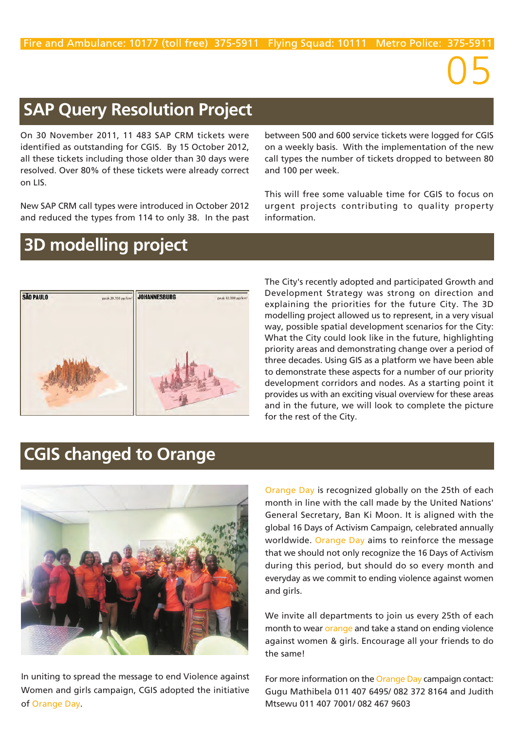## **SAP Query Resolution Project**

On 30 November 2011, 11 483 SAP CRM tickets were identified as outstanding for CGIS. By 15 October 2012, all these tickets including those older than 30 days were resolved. Over 80% of these tickets were already correct on LIS.

New SAP CRM call types were introduced in October 2012 and reduced the types from 114 to only 38. In the past between 500 and 600 service tickets were logged for CGIS on a weekly basis. With the implementation of the new call types the number of tickets dropped to between 80 and 100 per week.

05

This will free some valuable time for CGIS to focus on urgent projects contributing to quality property information.

## **3D modelling project**



The City's recently adopted and participated Growth and Development Strategy was strong on direction and explaining the priorities for the future City. The 3D modelling project allowed us to represent, in a very visual way, possible spatial development scenarios for the City: What the City could look like in the future, highlighting priority areas and demonstrating change over a period of three decades. Using GIS as a platform we have been able to demonstrate these aspects for a number of our priority development corridors and nodes. As a starting point it provides us with an exciting visual overview for these areas and in the future, we will look to complete the picture for the rest of the City.

## **CGIS changed to Orange**



In uniting to spread the message to end Violence against Women and girls campaign, CGIS adopted the initiative of Orange Day.

Orange Day is recognized globally on the 25th of each month in line with the call made by the United Nations' General Secretary, Ban Ki Moon. It is aligned with the global 16 Days of Activism Campaign, celebrated annually worldwide. Orange Day aims to reinforce the message that we should not only recognize the 16 Days of Activism during this period, but should do so every month and everyday as we commit to ending violence against women and girls.

We invite all departments to join us every 25th of each month to wear orange and take a stand on ending violence against women & girls. Encourage all your friends to do the same!

For more information on the Orange Day campaign contact: Gugu Mathibela 011 407 6495/ 082 372 8164 and Judith Mtsewu 011 407 7001/ 082 467 9603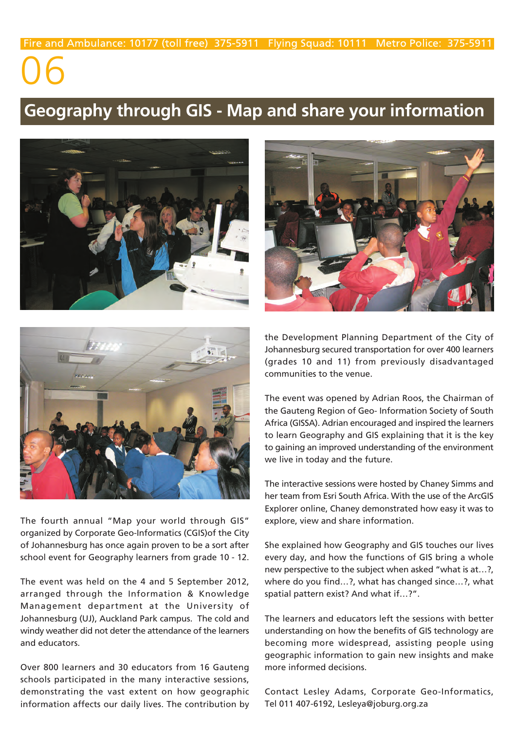### **Geography through GIS - Map and share your information**





The fourth annual "Map your world through GIS" organized by Corporate Geo-Informatics (CGIS)of the City of Johannesburg has once again proven to be a sort after school event for Geography learners from grade 10 - 12.

The event was held on the 4 and 5 September 2012, arranged through the Information & Knowledge Management department at the University of Johannesburg (UJ), Auckland Park campus. The cold and windy weather did not deter the attendance of the learners and educators.

Over 800 learners and 30 educators from 16 Gauteng schools participated in the many interactive sessions, demonstrating the vast extent on how geographic information affects our daily lives. The contribution by



the Development Planning Department of the City of Johannesburg secured transportation for over 400 learners (grades 10 and 11) from previously disadvantaged communities to the venue.

The event was opened by Adrian Roos, the Chairman of the Gauteng Region of Geo- Information Society of South Africa (GISSA). Adrian encouraged and inspired the learners to learn Geography and GIS explaining that it is the key to gaining an improved understanding of the environment we live in today and the future.

The interactive sessions were hosted by Chaney Simms and her team from Esri South Africa. With the use of the ArcGIS Explorer online, Chaney demonstrated how easy it was to explore, view and share information.

She explained how Geography and GIS touches our lives every day, and how the functions of GIS bring a whole new perspective to the subject when asked "what is at…?, where do you find…?, what has changed since…?, what spatial pattern exist? And what if…?".

The learners and educators left the sessions with better understanding on how the benefits of GIS technology are becoming more widespread, assisting people using geographic information to gain new insights and make more informed decisions.

Contact Lesley Adams, Corporate Geo-Informatics, Tel 011 407-6192, Lesleya@joburg.org.za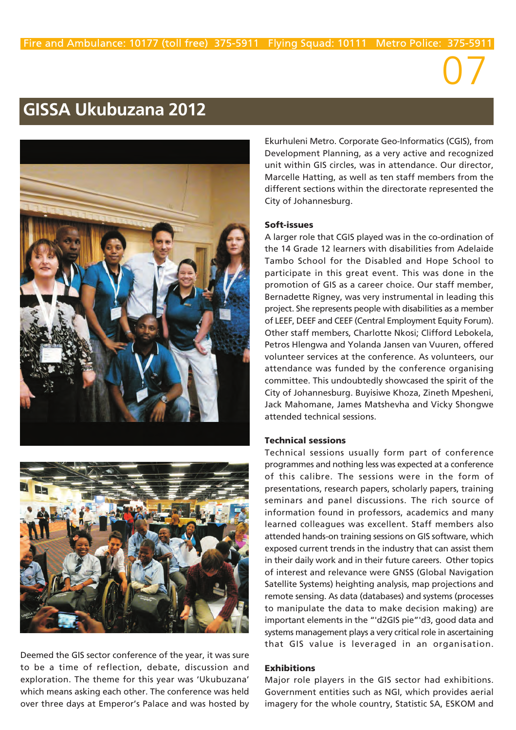### **GISSA Ukubuzana 2012**





Deemed the GIS sector conference of the year, it was sure to be a time of reflection, debate, discussion and exploration. The theme for this year was 'Ukubuzana' which means asking each other. The conference was held over three days at Emperor's Palace and was hosted by Ekurhuleni Metro. Corporate Geo-Informatics (CGIS), from Development Planning, as a very active and recognized unit within GIS circles, was in attendance. Our director, Marcelle Hatting, as well as ten staff members from the different sections within the directorate represented the City of Johannesburg.

07

### **Soft-issues**

A larger role that CGIS played was in the co-ordination of the 14 Grade 12 learners with disabilities from Adelaide Tambo School for the Disabled and Hope School to participate in this great event. This was done in the promotion of GIS as a career choice. Our staff member, Bernadette Rigney, was very instrumental in leading this project. She represents people with disabilities as a member of LEEF, DEEF and CEEF (Central Employment Equity Forum). Other staff members, Charlotte Nkosi; Clifford Lebokela, Petros Hlengwa and Yolanda Jansen van Vuuren, offered volunteer services at the conference. As volunteers, our attendance was funded by the conference organising committee. This undoubtedly showcased the spirit of the City of Johannesburg. Buyisiwe Khoza, Zineth Mpesheni, Jack Mahomane, James Matshevha and Vicky Shongwe attended technical sessions.

### **Technical sessions**

Technical sessions usually form part of conference programmes and nothing less was expected at a conference of this calibre. The sessions were in the form of presentations, research papers, scholarly papers, training seminars and panel discussions. The rich source of information found in professors, academics and many learned colleagues was excellent. Staff members also attended hands-on training sessions on GIS software, which exposed current trends in the industry that can assist them in their daily work and in their future careers. Other topics of interest and relevance were GNSS (Global Navigation Satellite Systems) heighting analysis, map projections and remote sensing. As data (databases) and systems (processes to manipulate the data to make decision making) are important elements in the "'d2GIS pie"'d3, good data and systems management plays a very critical role in ascertaining that GIS value is leveraged in an organisation.

### **Exhibitions**

Major role players in the GIS sector had exhibitions. Government entities such as NGI, which provides aerial imagery for the whole country, Statistic SA, ESKOM and